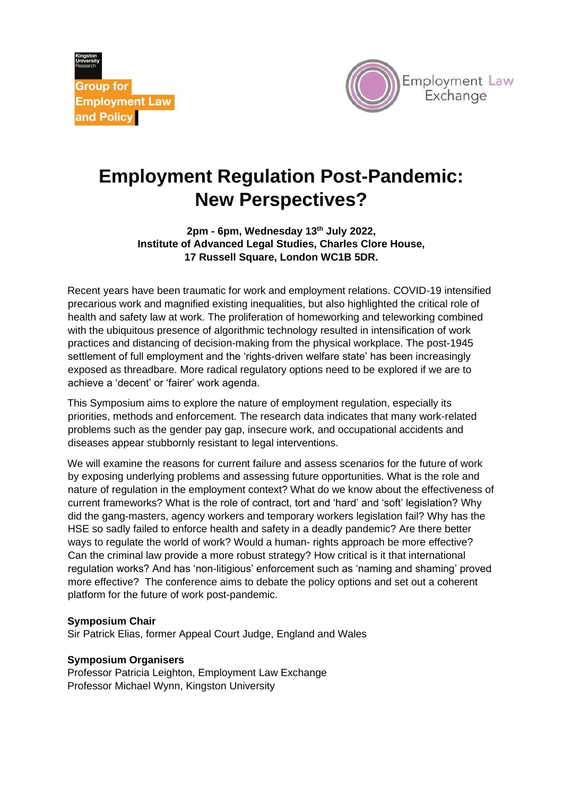**Group for Employment Law** and Policy



## **Employment Regulation Post-Pandemic: New Perspectives?**

**2pm - 6pm, Wednesday 13th July 2022, Institute of Advanced Legal Studies, Charles Clore House, 17 Russell Square, London WC1B 5DR.** 

Recent years have been traumatic for work and employment relations. COVID-19 intensified precarious work and magnified existing inequalities, but also highlighted the critical role of health and safety law at work. The proliferation of homeworking and teleworking combined with the ubiquitous presence of algorithmic technology resulted in intensification of work practices and distancing of decision-making from the physical workplace. The post-1945 settlement of full employment and the 'rights-driven welfare state' has been increasingly exposed as threadbare. More radical regulatory options need to be explored if we are to achieve a 'decent' or 'fairer' work agenda.

This Symposium aims to explore the nature of employment regulation, especially its priorities, methods and enforcement. The research data indicates that many work-related problems such as the gender pay gap, insecure work, and occupational accidents and diseases appear stubbornly resistant to legal interventions.

We will examine the reasons for current failure and assess scenarios for the future of work by exposing underlying problems and assessing future opportunities. What is the role and nature of regulation in the employment context? What do we know about the effectiveness of current frameworks? What is the role of contract, tort and 'hard' and 'soft' legislation? Why did the gang-masters, agency workers and temporary workers legislation fail? Why has the HSE so sadly failed to enforce health and safety in a deadly pandemic? Are there better ways to regulate the world of work? Would a human- rights approach be more effective? Can the criminal law provide a more robust strategy? How critical is it that international regulation works? And has 'non-litigious' enforcement such as 'naming and shaming' proved more effective? The conference aims to debate the policy options and set out a coherent platform for the future of work post-pandemic.

## **Symposium Chair**

Sir Patrick Elias, former Appeal Court Judge, England and Wales

## **Symposium Organisers**

Professor Patricia Leighton, Employment Law Exchange Professor Michael Wynn, Kingston University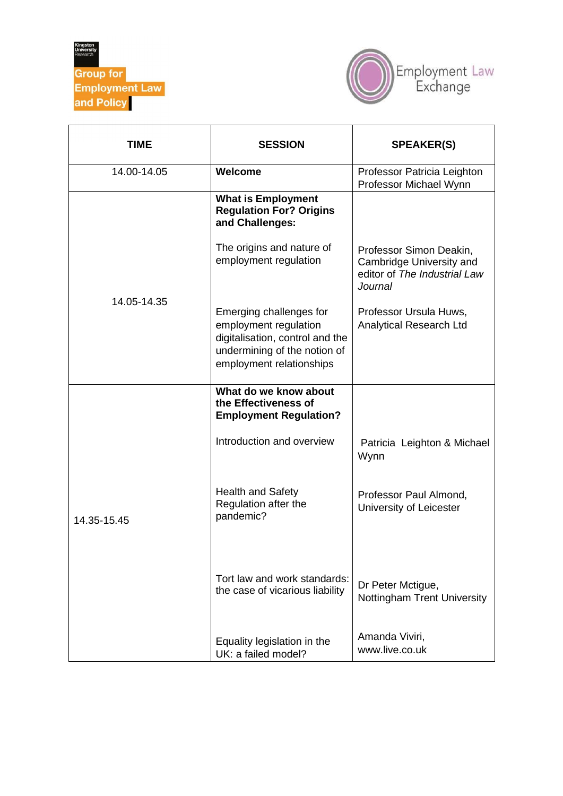



| TIME        | <b>SESSION</b>                                                                                                                                  | <b>SPEAKER(S)</b>                                                                              |
|-------------|-------------------------------------------------------------------------------------------------------------------------------------------------|------------------------------------------------------------------------------------------------|
| 14.00-14.05 | Welcome                                                                                                                                         | Professor Patricia Leighton<br>Professor Michael Wynn                                          |
|             | <b>What is Employment</b><br><b>Regulation For? Origins</b><br>and Challenges:                                                                  |                                                                                                |
|             | The origins and nature of<br>employment regulation                                                                                              | Professor Simon Deakin,<br>Cambridge University and<br>editor of The Industrial Law<br>Journal |
| 14.05-14.35 | Emerging challenges for<br>employment regulation<br>digitalisation, control and the<br>undermining of the notion of<br>employment relationships | Professor Ursula Huws,<br>Analytical Research Ltd                                              |
|             | What do we know about<br>the Effectiveness of<br><b>Employment Regulation?</b>                                                                  |                                                                                                |
|             | Introduction and overview                                                                                                                       | Patricia Leighton & Michael<br>Wynn                                                            |
| 14.35-15.45 | <b>Health and Safety</b><br>Regulation after the<br>pandemic?                                                                                   | Professor Paul Almond,<br>University of Leicester                                              |
|             | Tort law and work standards:<br>the case of vicarious liability                                                                                 | Dr Peter Mctigue,<br><b>Nottingham Trent University</b>                                        |
|             | Equality legislation in the<br>UK: a failed model?                                                                                              | Amanda Viviri,<br>www.live.co.uk                                                               |